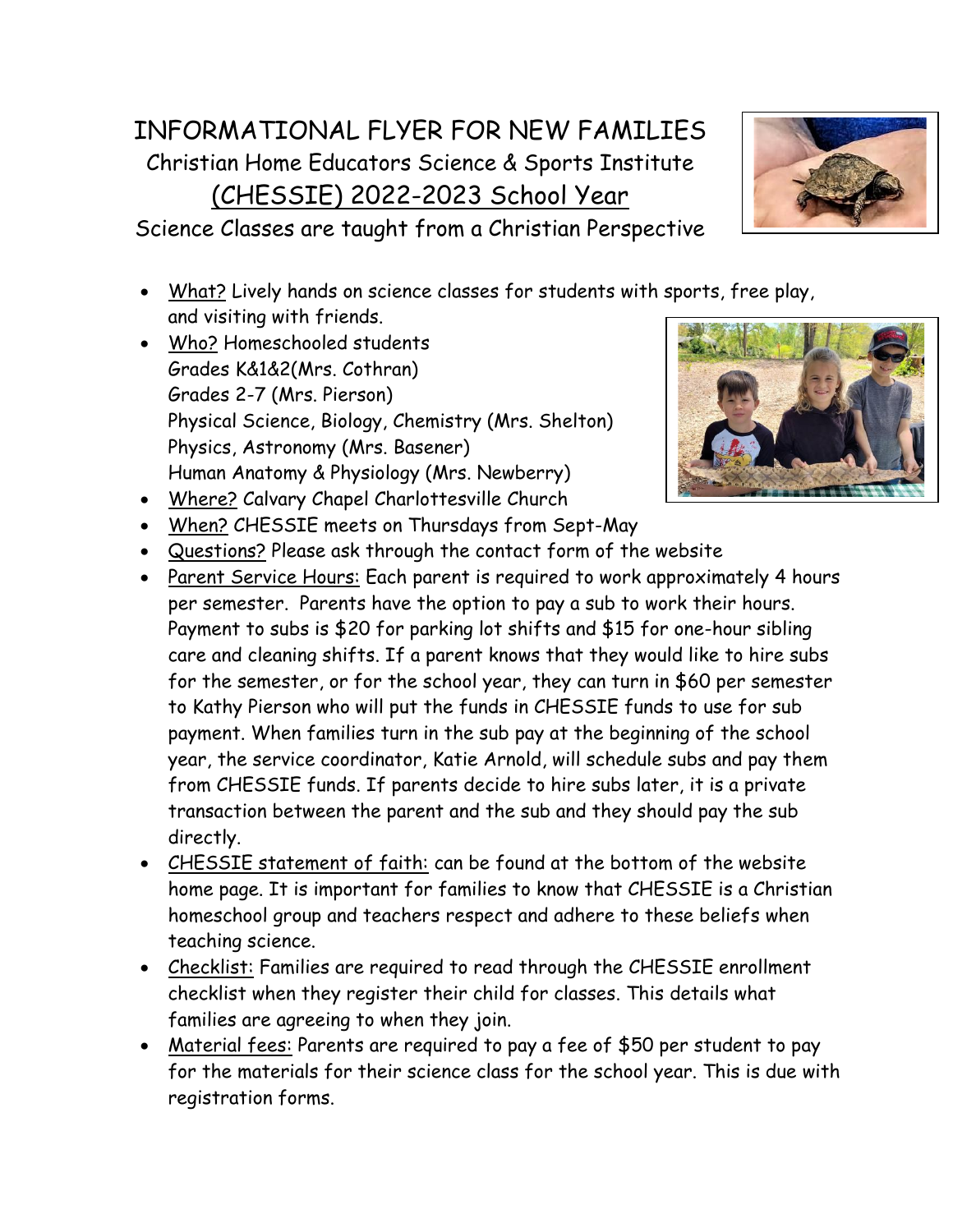## INFORMATIONAL FLYER FOR NEW FAMILIES Christian Home Educators Science & Sports Institute (CHESSIE) 2022-2023 School Year

Science Classes are taught from a Christian Perspective

- What? Lively hands on science classes for students with sports, free play, and visiting with friends.
- Who? Homeschooled students Grades K&1&2(Mrs. Cothran) Grades 2-7 (Mrs. Pierson) Physical Science, Biology, Chemistry (Mrs. Shelton) Physics, Astronomy (Mrs. Basener) Human Anatomy & Physiology (Mrs. Newberry)



- Where? Calvary Chapel Charlottesville Church
- When? CHESSIE meets on Thursdays from Sept-May
- Questions? Please ask through the contact form of the website
- Parent Service Hours: Each parent is required to work approximately 4 hours per semester. Parents have the option to pay a sub to work their hours. Payment to subs is \$20 for parking lot shifts and \$15 for one-hour sibling care and cleaning shifts. If a parent knows that they would like to hire subs for the semester, or for the school year, they can turn in \$60 per semester to Kathy Pierson who will put the funds in CHESSIE funds to use for sub payment. When families turn in the sub pay at the beginning of the school year, the service coordinator, Katie Arnold, will schedule subs and pay them from CHESSIE funds. If parents decide to hire subs later, it is a private transaction between the parent and the sub and they should pay the sub directly.
- CHESSIE statement of faith: can be found at the bottom of the website home page. It is important for families to know that CHESSIE is a Christian homeschool group and teachers respect and adhere to these beliefs when teaching science.
- Checklist: Families are required to read through the CHESSIE enrollment checklist when they register their child for classes. This details what families are agreeing to when they join.
- Material fees: Parents are required to pay a fee of \$50 per student to pay for the materials for their science class for the school year. This is due with registration forms.